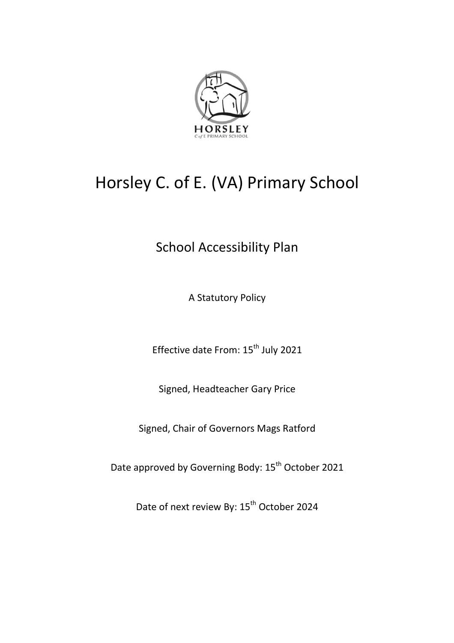

# Horsley C. of E. (VA) Primary School

# School Accessibility Plan

A Statutory Policy

Effective date From: 15<sup>th</sup> July 2021

Signed, Headteacher Gary Price

Signed, Chair of Governors Mags Ratford

Date approved by Governing Body: 15<sup>th</sup> October 2021

Date of next review By: 15<sup>th</sup> October 2024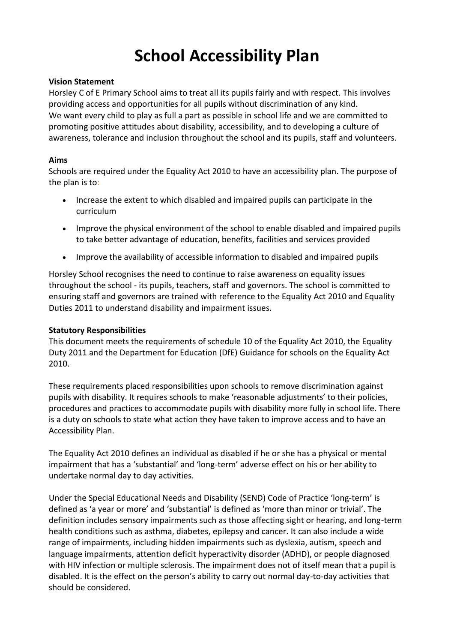# **School Accessibility Plan**

### **Vision Statement**

Horsley C of E Primary School aims to treat all its pupils fairly and with respect. This involves providing access and opportunities for all pupils without discrimination of any kind. We want every child to play as full a part as possible in school life and we are committed to promoting positive attitudes about disability, accessibility, and to developing a culture of awareness, tolerance and inclusion throughout the school and its pupils, staff and volunteers.

## **Aims**

Schools are required under the Equality Act 2010 to have an accessibility plan. The purpose of the plan is to:

- Increase the extent to which disabled and impaired pupils can participate in the curriculum
- Improve the physical environment of the school to enable disabled and impaired pupils to take better advantage of education, benefits, facilities and services provided
- Improve the availability of accessible information to disabled and impaired pupils

Horsley School recognises the need to continue to raise awareness on equality issues throughout the school - its pupils, teachers, staff and governors. The school is committed to ensuring staff and governors are trained with reference to the Equality Act 2010 and Equality Duties 2011 to understand disability and impairment issues.

### **Statutory Responsibilities**

This document meets the requirements of schedule 10 of the Equality Act 2010, the Equality Duty 2011 and the Department for Education (DfE) Guidance for schools on the Equality Act 2010.

These requirements placed responsibilities upon schools to remove discrimination against pupils with disability. It requires schools to make 'reasonable adjustments' to their policies, procedures and practices to accommodate pupils with disability more fully in school life. There is a duty on schools to state what action they have taken to improve access and to have an Accessibility Plan.

The Equality Act 2010 defines an individual as disabled if he or she has a physical or mental impairment that has a 'substantial' and 'long-term' adverse effect on his or her ability to undertake normal day to day activities.

Under the Special Educational Needs and Disability (SEND) Code of Practice 'long-term' is defined as 'a year or more' and 'substantial' is defined as 'more than minor or trivial'. The definition includes sensory impairments such as those affecting sight or hearing, and long-term health conditions such as asthma, diabetes, epilepsy and cancer. It can also include a wide range of impairments, including hidden impairments such as dyslexia, autism, speech and language impairments, attention deficit hyperactivity disorder (ADHD), or people diagnosed with HIV infection or multiple sclerosis. The impairment does not of itself mean that a pupil is disabled. It is the effect on the person's ability to carry out normal day-to-day activities that should be considered.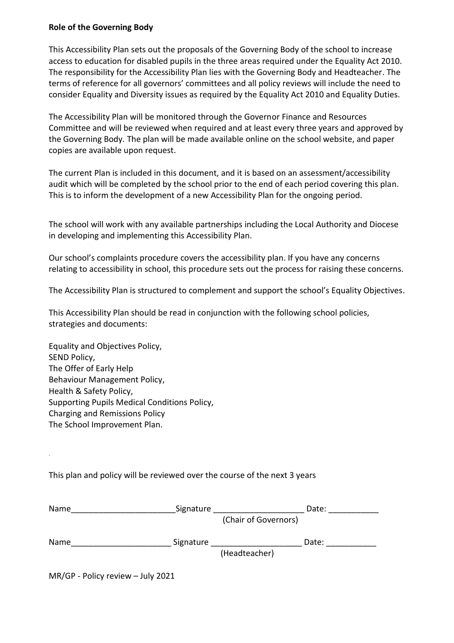#### **Role of the Governing Body**

This Accessibility Plan sets out the proposals of the Governing Body of the school to increase access to education for disabled pupils in the three areas required under the Equality Act 2010. The responsibility for the Accessibility Plan lies with the Governing Body and Headteacher. The terms of reference for all governors' committees and all policy reviews will include the need to consider Equality and Diversity issues as required by the Equality Act 2010 and Equality Duties.

The Accessibility Plan will be monitored through the Governor Finance and Resources Committee and will be reviewed when required and at least every three years and approved by the Governing Body. The plan will be made available online on the school website, and paper copies are available upon request.

The current Plan is included in this document, and it is based on an assessment/accessibility audit which will be completed by the school prior to the end of each period covering this plan. This is to inform the development of a new Accessibility Plan for the ongoing period.

The school will work with any available partnerships including the Local Authority and Diocese in developing and implementing this Accessibility Plan.

Our school's complaints procedure covers the accessibility plan. If you have any concerns relating to accessibility in school, this procedure sets out the process for raising these concerns.

The Accessibility Plan is structured to complement and support the school's Equality Objectives.

This Accessibility Plan should be read in conjunction with the following school policies, strategies and documents:

Equality and Objectives Policy, SEND Policy, The Offer of Early Help Behaviour Management Policy, Health & Safety Policy, Supporting Pupils Medical Conditions Policy, Charging and Remissions Policy The School Improvement Plan.

This plan and policy will be reviewed over the course of the next 3 years

| Name | Signature |                      | Date: |
|------|-----------|----------------------|-------|
|      |           | (Chair of Governors) |       |
| Name | Signature |                      | Date: |
|      |           | (Headteacher)        |       |
|      |           |                      |       |

MR/GP - Policy review – July 2021

*.*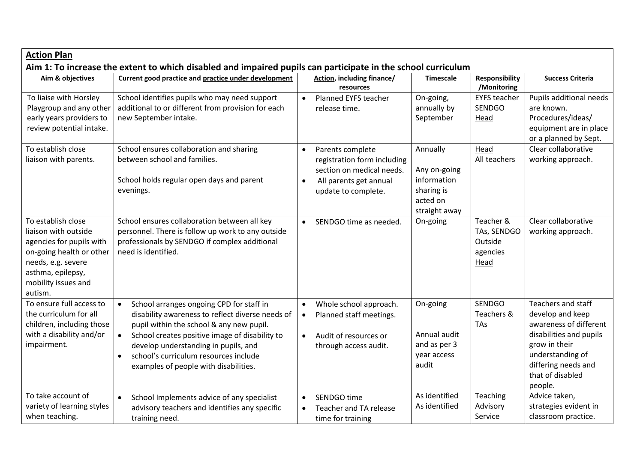| <b>Action Plan</b>                                                                                                                                                              | Aim 1: To increase the extent to which disabled and impaired pupils can participate in the school curriculum                                                                                                                                                                                                                                                |                                                                                                                                                         |                                                                                    |                                                         |                                                                                                                                                                                               |
|---------------------------------------------------------------------------------------------------------------------------------------------------------------------------------|-------------------------------------------------------------------------------------------------------------------------------------------------------------------------------------------------------------------------------------------------------------------------------------------------------------------------------------------------------------|---------------------------------------------------------------------------------------------------------------------------------------------------------|------------------------------------------------------------------------------------|---------------------------------------------------------|-----------------------------------------------------------------------------------------------------------------------------------------------------------------------------------------------|
| Aim & objectives                                                                                                                                                                | Current good practice and practice under development                                                                                                                                                                                                                                                                                                        | Action, including finance/<br>resources                                                                                                                 | <b>Timescale</b>                                                                   | <b>Responsibility</b><br>/Monitoring                    | <b>Success Criteria</b>                                                                                                                                                                       |
| To liaise with Horsley<br>Playgroup and any other<br>early years providers to<br>review potential intake.                                                                       | School identifies pupils who may need support<br>additional to or different from provision for each<br>new September intake.                                                                                                                                                                                                                                | Planned EYFS teacher<br>$\bullet$<br>release time.                                                                                                      | On-going,<br>annually by<br>September                                              | <b>EYFS teacher</b><br><b>SENDGO</b><br>Head            | Pupils additional needs<br>are known.<br>Procedures/ideas/<br>equipment are in place<br>or a planned by Sept.                                                                                 |
| To establish close<br>liaison with parents.                                                                                                                                     | School ensures collaboration and sharing<br>between school and families.<br>School holds regular open days and parent<br>evenings.                                                                                                                                                                                                                          | Parents complete<br>$\bullet$<br>registration form including<br>section on medical needs.<br>All parents get annual<br>$\bullet$<br>update to complete. | Annually<br>Any on-going<br>information<br>sharing is<br>acted on<br>straight away | Head<br>All teachers                                    | Clear collaborative<br>working approach.                                                                                                                                                      |
| To establish close<br>liaison with outside<br>agencies for pupils with<br>on-going health or other<br>needs, e.g. severe<br>asthma, epilepsy,<br>mobility issues and<br>autism. | School ensures collaboration between all key<br>personnel. There is follow up work to any outside<br>professionals by SENDGO if complex additional<br>need is identified.                                                                                                                                                                                   | SENDGO time as needed.<br>$\bullet$                                                                                                                     | On-going                                                                           | Teacher &<br>TAs, SENDGO<br>Outside<br>agencies<br>Head | Clear collaborative<br>working approach.                                                                                                                                                      |
| To ensure full access to<br>the curriculum for all<br>children, including those<br>with a disability and/or<br>impairment.                                                      | School arranges ongoing CPD for staff in<br>$\bullet$<br>disability awareness to reflect diverse needs of<br>pupil within the school & any new pupil.<br>School creates positive image of disability to<br>$\bullet$<br>develop understanding in pupils, and<br>school's curriculum resources include<br>$\bullet$<br>examples of people with disabilities. | Whole school approach.<br>Planned staff meetings.<br>$\bullet$<br>Audit of resources or<br>$\bullet$<br>through access audit.                           | On-going<br>Annual audit<br>and as per 3<br>year access<br>audit                   | <b>SENDGO</b><br>Teachers &<br>TAs                      | <b>Teachers and staff</b><br>develop and keep<br>awareness of different<br>disabilities and pupils<br>grow in their<br>understanding of<br>differing needs and<br>that of disabled<br>people. |
| To take account of<br>variety of learning styles<br>when teaching.                                                                                                              | School Implements advice of any specialist<br>$\bullet$<br>advisory teachers and identifies any specific<br>training need.                                                                                                                                                                                                                                  | SENDGO time<br>Teacher and TA release<br>$\bullet$<br>time for training                                                                                 | As identified<br>As identified                                                     | Teaching<br>Advisory<br>Service                         | Advice taken,<br>strategies evident in<br>classroom practice.                                                                                                                                 |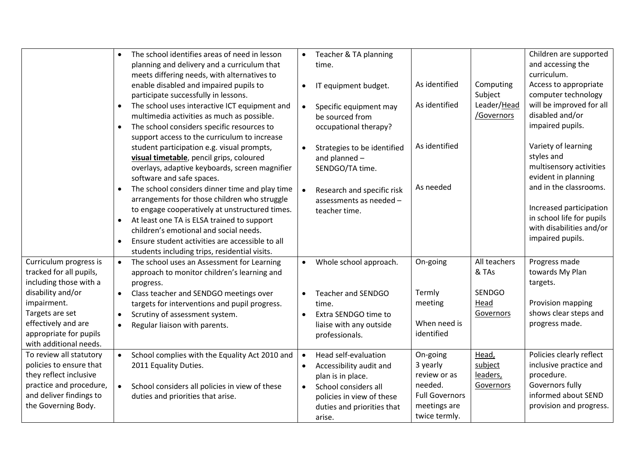|                                                                                                                                                           | The school identifies areas of need in lesson<br>planning and delivery and a curriculum that<br>meets differing needs, with alternatives to<br>enable disabled and impaired pupils to                                                                                                                                                                                               | $\bullet$<br>$\bullet$ | Teacher & TA planning<br>time.<br>IT equipment budget.                                                                                                            | As identified                                                                                             | Computing                                 | Children are supported<br>and accessing the<br>curriculum.<br>Access to appropriate                                                   |
|-----------------------------------------------------------------------------------------------------------------------------------------------------------|-------------------------------------------------------------------------------------------------------------------------------------------------------------------------------------------------------------------------------------------------------------------------------------------------------------------------------------------------------------------------------------|------------------------|-------------------------------------------------------------------------------------------------------------------------------------------------------------------|-----------------------------------------------------------------------------------------------------------|-------------------------------------------|---------------------------------------------------------------------------------------------------------------------------------------|
|                                                                                                                                                           | participate successfully in lessons.<br>The school uses interactive ICT equipment and<br>multimedia activities as much as possible.<br>The school considers specific resources to<br>$\bullet$                                                                                                                                                                                      |                        | Specific equipment may<br>be sourced from<br>occupational therapy?                                                                                                | As identified                                                                                             | Subject<br>Leader/Head<br>/Governors      | computer technology<br>will be improved for all<br>disabled and/or<br>impaired pupils.                                                |
|                                                                                                                                                           | support access to the curriculum to increase<br>student participation e.g. visual prompts,<br>visual timetable, pencil grips, coloured<br>overlays, adaptive keyboards, screen magnifier<br>software and safe spaces.                                                                                                                                                               |                        | Strategies to be identified<br>and planned -<br>SENDGO/TA time.                                                                                                   | As identified                                                                                             |                                           | Variety of learning<br>styles and<br>multisensory activities<br>evident in planning                                                   |
|                                                                                                                                                           | The school considers dinner time and play time<br>$\bullet$<br>arrangements for those children who struggle<br>to engage cooperatively at unstructured times.<br>At least one TA is ELSA trained to support<br>$\bullet$<br>children's emotional and social needs.<br>Ensure student activities are accessible to all<br>$\bullet$<br>students including trips, residential visits. |                        | Research and specific risk<br>assessments as needed -<br>teacher time.                                                                                            | As needed                                                                                                 |                                           | and in the classrooms.<br>Increased participation<br>in school life for pupils<br>with disabilities and/or<br>impaired pupils.        |
| Curriculum progress is<br>tracked for all pupils,<br>including those with a                                                                               | The school uses an Assessment for Learning<br>$\bullet$<br>approach to monitor children's learning and<br>progress.                                                                                                                                                                                                                                                                 |                        | Whole school approach.                                                                                                                                            | On-going                                                                                                  | All teachers<br>& TAs                     | Progress made<br>towards My Plan<br>targets.                                                                                          |
| disability and/or<br>impairment.<br>Targets are set<br>effectively and are<br>appropriate for pupils<br>with additional needs.                            | Class teacher and SENDGO meetings over<br>$\bullet$<br>targets for interventions and pupil progress.<br>Scrutiny of assessment system.<br>$\bullet$<br>Regular liaison with parents.<br>$\bullet$                                                                                                                                                                                   | $\bullet$<br>$\bullet$ | Teacher and SENDGO<br>time.<br>Extra SENDGO time to<br>liaise with any outside<br>professionals.                                                                  | Termly<br>meeting<br>When need is<br>identified                                                           | <b>SENDGO</b><br>Head<br>Governors        | Provision mapping<br>shows clear steps and<br>progress made.                                                                          |
| To review all statutory<br>policies to ensure that<br>they reflect inclusive<br>practice and procedure,<br>and deliver findings to<br>the Governing Body. | School complies with the Equality Act 2010 and<br>$\bullet$<br>2011 Equality Duties.<br>School considers all policies in view of these<br>$\bullet$<br>duties and priorities that arise.                                                                                                                                                                                            | $\bullet$<br>$\bullet$ | Head self-evaluation<br>Accessibility audit and<br>plan is in place.<br>School considers all<br>policies in view of these<br>duties and priorities that<br>arise. | On-going<br>3 yearly<br>review or as<br>needed.<br><b>Full Governors</b><br>meetings are<br>twice termly. | Head,<br>subject<br>leaders,<br>Governors | Policies clearly reflect<br>inclusive practice and<br>procedure.<br>Governors fully<br>informed about SEND<br>provision and progress. |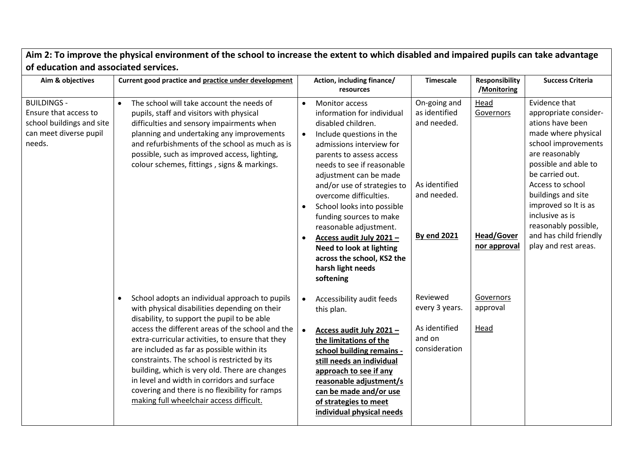| of education and associated services.                                                                        |                                                                                                                                                                                                                                                                                                                                                                                                                                                                                                                                                                  |                                     |                                                                                                                                                                                                                                                                                                                                                                                                                                                                                                 |                                                                                                    |                                                        |                                                                                                                                                                                                                                                                                                                                      |  |
|--------------------------------------------------------------------------------------------------------------|------------------------------------------------------------------------------------------------------------------------------------------------------------------------------------------------------------------------------------------------------------------------------------------------------------------------------------------------------------------------------------------------------------------------------------------------------------------------------------------------------------------------------------------------------------------|-------------------------------------|-------------------------------------------------------------------------------------------------------------------------------------------------------------------------------------------------------------------------------------------------------------------------------------------------------------------------------------------------------------------------------------------------------------------------------------------------------------------------------------------------|----------------------------------------------------------------------------------------------------|--------------------------------------------------------|--------------------------------------------------------------------------------------------------------------------------------------------------------------------------------------------------------------------------------------------------------------------------------------------------------------------------------------|--|
| Aim & objectives                                                                                             | Current good practice and practice under development                                                                                                                                                                                                                                                                                                                                                                                                                                                                                                             |                                     | Action, including finance/<br>resources                                                                                                                                                                                                                                                                                                                                                                                                                                                         | <b>Timescale</b>                                                                                   | <b>Responsibility</b><br>/Monitoring                   | <b>Success Criteria</b>                                                                                                                                                                                                                                                                                                              |  |
| <b>BUILDINGS -</b><br>Ensure that access to<br>school buildings and site<br>can meet diverse pupil<br>needs. | The school will take account the needs of<br>pupils, staff and visitors with physical<br>difficulties and sensory impairments when<br>planning and undertaking any improvements<br>and refurbishments of the school as much as is<br>possible, such as improved access, lighting,<br>colour schemes, fittings, signs & markings.                                                                                                                                                                                                                                 | $\bullet$<br>$\bullet$<br>$\bullet$ | <b>Monitor access</b><br>information for individual<br>disabled children.<br>Include questions in the<br>admissions interview for<br>parents to assess access<br>needs to see if reasonable<br>adjustment can be made<br>and/or use of strategies to<br>overcome difficulties.<br>School looks into possible<br>funding sources to make<br>reasonable adjustment.<br>Access audit July 2021-<br><b>Need to look at lighting</b><br>across the school, KS2 the<br>harsh light needs<br>softening | On-going and<br>as identified<br>and needed.<br>As identified<br>and needed.<br><b>By end 2021</b> | Head<br>Governors<br><b>Head/Gover</b><br>nor approval | Evidence that<br>appropriate consider-<br>ations have been<br>made where physical<br>school improvements<br>are reasonably<br>possible and able to<br>be carried out.<br>Access to school<br>buildings and site<br>improved so It is as<br>inclusive as is<br>reasonably possible,<br>and has child friendly<br>play and rest areas. |  |
|                                                                                                              | School adopts an individual approach to pupils<br>$\bullet$<br>with physical disabilities depending on their<br>disability, to support the pupil to be able<br>access the different areas of the school and the<br>extra-curricular activities, to ensure that they<br>are included as far as possible within its<br>constraints. The school is restricted by its<br>building, which is very old. There are changes<br>in level and width in corridors and surface<br>covering and there is no flexibility for ramps<br>making full wheelchair access difficult. |                                     | Accessibility audit feeds<br>this plan.<br>Access audit July 2021-<br>the limitations of the<br>school building remains -<br>still needs an individual<br>approach to see if any<br>reasonable adjustment/s<br>can be made and/or use<br>of strategies to meet<br>individual physical needs                                                                                                                                                                                                     | Reviewed<br>every 3 years.<br>As identified<br>and on<br>consideration                             | Governors<br>approval<br>Head                          |                                                                                                                                                                                                                                                                                                                                      |  |

Aim 2: To improve the physical environment of the school to increase the extent to which disabled and impaired pupils can take advantage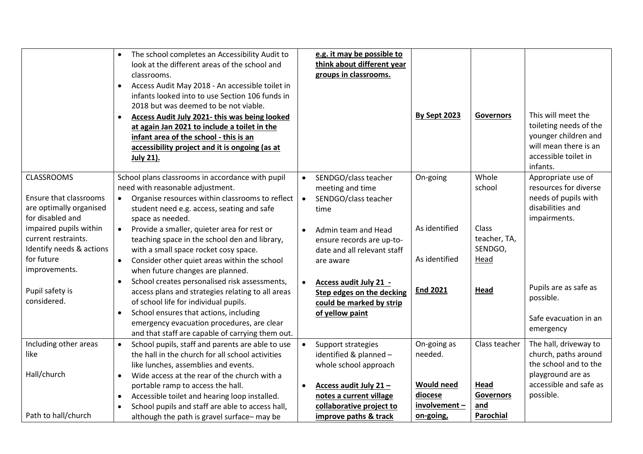|                                                                                                   | The school completes an Accessibility Audit to<br>$\bullet$<br>look at the different areas of the school and<br>classrooms.<br>Access Audit May 2018 - An accessible toilet in<br>$\bullet$<br>infants looked into to use Section 106 funds in<br>2018 but was deemed to be not viable.<br><b>Access Audit July 2021- this was being looked</b><br>$\bullet$<br>at again Jan 2021 to include a toilet in the<br>infant area of the school - this is an<br>accessibility project and it is ongoing (as at<br>July 21). | e.g. it may be possible to<br>think about different year<br>groups in classrooms.                         | By Sept 2023                   | <b>Governors</b>                         | This will meet the<br>toileting needs of the<br>younger children and<br>will mean there is an<br>accessible toilet in<br>infants. |
|---------------------------------------------------------------------------------------------------|-----------------------------------------------------------------------------------------------------------------------------------------------------------------------------------------------------------------------------------------------------------------------------------------------------------------------------------------------------------------------------------------------------------------------------------------------------------------------------------------------------------------------|-----------------------------------------------------------------------------------------------------------|--------------------------------|------------------------------------------|-----------------------------------------------------------------------------------------------------------------------------------|
| <b>CLASSROOMS</b><br><b>Ensure that classrooms</b><br>are optimally organised<br>for disabled and | School plans classrooms in accordance with pupil<br>need with reasonable adjustment.<br>Organise resources within classrooms to reflect<br>$\bullet$<br>student need e.g. access, seating and safe<br>space as needed.                                                                                                                                                                                                                                                                                                | SENDGO/class teacher<br>meeting and time<br>SENDGO/class teacher<br>$\bullet$<br>time                     | On-going                       | Whole<br>school                          | Appropriate use of<br>resources for diverse<br>needs of pupils with<br>disabilities and<br>impairments.                           |
| impaired pupils within<br>current restraints.<br>Identify needs & actions<br>for future           | Provide a smaller, quieter area for rest or<br>$\bullet$<br>teaching space in the school den and library,<br>with a small space rocket cosy space.<br>$\bullet$<br>Consider other quiet areas within the school                                                                                                                                                                                                                                                                                                       | Admin team and Head<br>$\bullet$<br>ensure records are up-to-<br>date and all relevant staff<br>are aware | As identified<br>As identified | Class<br>teacher, TA,<br>SENDGO,<br>Head |                                                                                                                                   |
| improvements.<br>Pupil safety is<br>considered.                                                   | when future changes are planned.<br>School creates personalised risk assessments,<br>$\bullet$<br>access plans and strategies relating to all areas<br>of school life for individual pupils.<br>School ensures that actions, including<br>$\bullet$<br>emergency evacuation procedures, are clear<br>and that staff are capable of carrying them out.                                                                                                                                                                 | Access audit July 21 -<br><b>Step edges on the decking</b><br>could be marked by strip<br>of yellow paint | <b>End 2021</b>                | Head                                     | Pupils are as safe as<br>possible.<br>Safe evacuation in an<br>emergency                                                          |
| Including other areas                                                                             | School pupils, staff and parents are able to use<br>$\bullet$                                                                                                                                                                                                                                                                                                                                                                                                                                                         | Support strategies                                                                                        | On-going as                    | Class teacher                            | The hall, driveway to                                                                                                             |
| like<br>Hall/church                                                                               | the hall in the church for all school activities<br>like lunches, assemblies and events.<br>Wide access at the rear of the church with a<br>$\bullet$                                                                                                                                                                                                                                                                                                                                                                 | identified & planned -<br>whole school approach                                                           | needed.                        |                                          | church, paths around<br>the school and to the<br>playground are as                                                                |
|                                                                                                   | portable ramp to access the hall.                                                                                                                                                                                                                                                                                                                                                                                                                                                                                     | Access audit July 21-<br>$\bullet$                                                                        | <b>Would need</b>              | Head                                     | accessible and safe as                                                                                                            |
|                                                                                                   | Accessible toilet and hearing loop installed.<br>$\bullet$                                                                                                                                                                                                                                                                                                                                                                                                                                                            | notes a current village                                                                                   | diocese                        | <b>Governors</b>                         | possible.                                                                                                                         |
| Path to hall/church                                                                               | School pupils and staff are able to access hall,<br>$\bullet$<br>although the path is gravel surface-may be                                                                                                                                                                                                                                                                                                                                                                                                           | collaborative project to<br>improve paths & track                                                         | involvement-<br>on-going,      | and<br><b>Parochial</b>                  |                                                                                                                                   |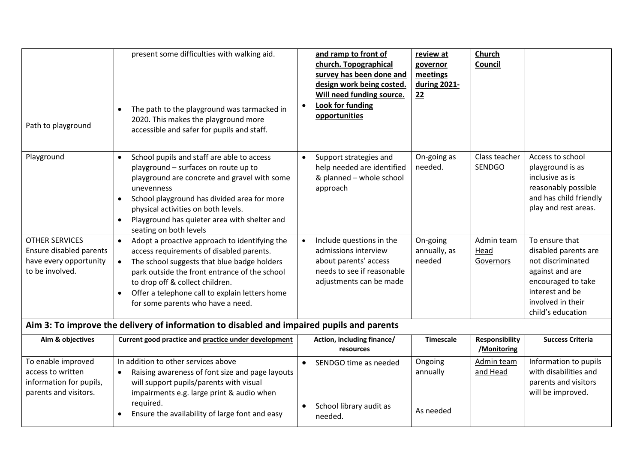| Path to playground                                                                            | present some difficulties with walking aid.<br>The path to the playground was tarmacked in<br>$\bullet$<br>2020. This makes the playground more<br>accessible and safer for pupils and staff.                                                                                                                                                              |                        | and ramp to front of<br>church. Topographical<br>survey has been done and<br>design work being costed.<br>Will need funding source.<br><b>Look for funding</b><br>opportunities | review at<br>governor<br>meetings<br>during 2021-<br>22 | Church<br>Council               |                                                                                                                                                                   |
|-----------------------------------------------------------------------------------------------|------------------------------------------------------------------------------------------------------------------------------------------------------------------------------------------------------------------------------------------------------------------------------------------------------------------------------------------------------------|------------------------|---------------------------------------------------------------------------------------------------------------------------------------------------------------------------------|---------------------------------------------------------|---------------------------------|-------------------------------------------------------------------------------------------------------------------------------------------------------------------|
| Playground                                                                                    | School pupils and staff are able to access<br>$\bullet$<br>playground - surfaces on route up to<br>playground are concrete and gravel with some<br>unevenness<br>School playground has divided area for more<br>$\bullet$<br>physical activities on both levels.<br>Playground has quieter area with shelter and<br>$\bullet$<br>seating on both levels    | $\bullet$              | Support strategies and<br>help needed are identified<br>& planned - whole school<br>approach                                                                                    | On-going as<br>needed.                                  | Class teacher<br><b>SENDGO</b>  | Access to school<br>playground is as<br>inclusive as is<br>reasonably possible<br>and has child friendly<br>play and rest areas.                                  |
| <b>OTHER SERVICES</b><br>Ensure disabled parents<br>have every opportunity<br>to be involved. | Adopt a proactive approach to identifying the<br>$\bullet$<br>access requirements of disabled parents.<br>The school suggests that blue badge holders<br>$\bullet$<br>park outside the front entrance of the school<br>to drop off & collect children.<br>Offer a telephone call to explain letters home<br>$\bullet$<br>for some parents who have a need. | $\bullet$              | Include questions in the<br>admissions interview<br>about parents' access<br>needs to see if reasonable<br>adjustments can be made                                              | On-going<br>annually, as<br>needed                      | Admin team<br>Head<br>Governors | To ensure that<br>disabled parents are<br>not discriminated<br>against and are<br>encouraged to take<br>interest and be<br>involved in their<br>child's education |
| Aim & objectives                                                                              | Aim 3: To improve the delivery of information to disabled and impaired pupils and parents<br>Current good practice and practice under development                                                                                                                                                                                                          |                        | Action, including finance/                                                                                                                                                      | <b>Timescale</b>                                        | <b>Responsibility</b>           | <b>Success Criteria</b>                                                                                                                                           |
|                                                                                               |                                                                                                                                                                                                                                                                                                                                                            |                        | resources                                                                                                                                                                       |                                                         | /Monitoring                     |                                                                                                                                                                   |
| To enable improved<br>access to written<br>information for pupils,<br>parents and visitors.   | In addition to other services above<br>Raising awareness of font size and page layouts<br>$\bullet$<br>will support pupils/parents with visual<br>impairments e.g. large print & audio when<br>required.<br>Ensure the availability of large font and easy<br>$\bullet$                                                                                    | $\bullet$<br>$\bullet$ | SENDGO time as needed<br>School library audit as<br>needed.                                                                                                                     | Ongoing<br>annually<br>As needed                        | Admin team<br>and Head          | Information to pupils<br>with disabilities and<br>parents and visitors<br>will be improved.                                                                       |